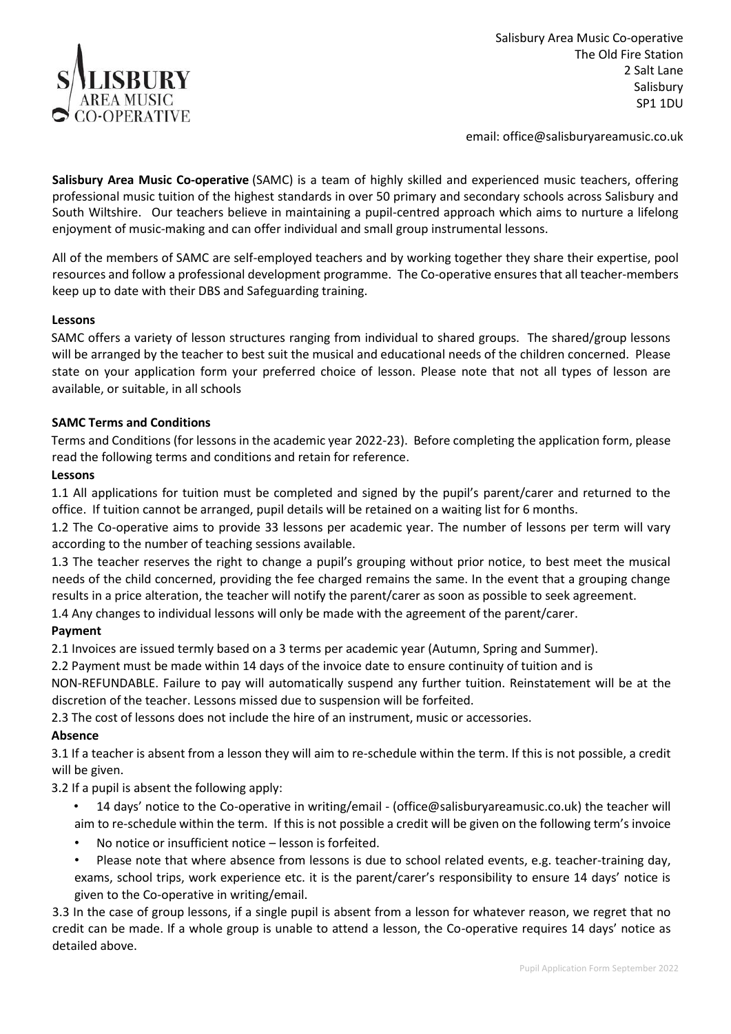

Salisbury Area Music Co-operative The Old Fire Station 2 Salt Lane **Salisbury** SP1 1DU

email: office@salisburyareamusic.co.uk

**Salisbury Area Music Co-operative** (SAMC) is a team of highly skilled and experienced music teachers, offering professional music tuition of the highest standards in over 50 primary and secondary schools across Salisbury and South Wiltshire. Our teachers believe in maintaining a pupil-centred approach which aims to nurture a lifelong enjoyment of music-making and can offer individual and small group instrumental lessons.

All of the members of SAMC are self-employed teachers and by working together they share their expertise, pool resources and follow a professional development programme. The Co-operative ensures that all teacher-members keep up to date with their DBS and Safeguarding training.

#### **Lessons**

SAMC offers a variety of lesson structures ranging from individual to shared groups. The shared/group lessons will be arranged by the teacher to best suit the musical and educational needs of the children concerned. Please state on your application form your preferred choice of lesson. Please note that not all types of lesson are available, or suitable, in all schools

#### **SAMC Terms and Conditions**

Terms and Conditions (for lessons in the academic year 2022-23). Before completing the application form, please read the following terms and conditions and retain for reference.

#### **Lessons**

1.1 All applications for tuition must be completed and signed by the pupil's parent/carer and returned to the office. If tuition cannot be arranged, pupil details will be retained on a waiting list for 6 months.

1.2 The Co-operative aims to provide 33 lessons per academic year. The number of lessons per term will vary according to the number of teaching sessions available.

1.3 The teacher reserves the right to change a pupil's grouping without prior notice, to best meet the musical needs of the child concerned, providing the fee charged remains the same. In the event that a grouping change results in a price alteration, the teacher will notify the parent/carer as soon as possible to seek agreement.

1.4 Any changes to individual lessons will only be made with the agreement of the parent/carer.

#### **Payment**

2.1 Invoices are issued termly based on a 3 terms per academic year (Autumn, Spring and Summer).

2.2 Payment must be made within 14 days of the invoice date to ensure continuity of tuition and is

NON-REFUNDABLE. Failure to pay will automatically suspend any further tuition. Reinstatement will be at the discretion of the teacher. Lessons missed due to suspension will be forfeited.

2.3 The cost of lessons does not include the hire of an instrument, music or accessories.

## **Absence**

3.1 If a teacher is absent from a lesson they will aim to re-schedule within the term. If this is not possible, a credit will be given.

3.2 If a pupil is absent the following apply:

- 14 days' notice to the Co-operative in writing/email (office@salisburyareamusic.co.uk) the teacher will aim to re-schedule within the term. If this is not possible a credit will be given on the following term's invoice
- No notice or insufficient notice lesson is forfeited.
- Please note that where absence from lessons is due to school related events, e.g. teacher-training day, exams, school trips, work experience etc. it is the parent/carer's responsibility to ensure 14 days' notice is given to the Co-operative in writing/email.

3.3 In the case of group lessons, if a single pupil is absent from a lesson for whatever reason, we regret that no credit can be made. If a whole group is unable to attend a lesson, the Co-operative requires 14 days' notice as detailed above.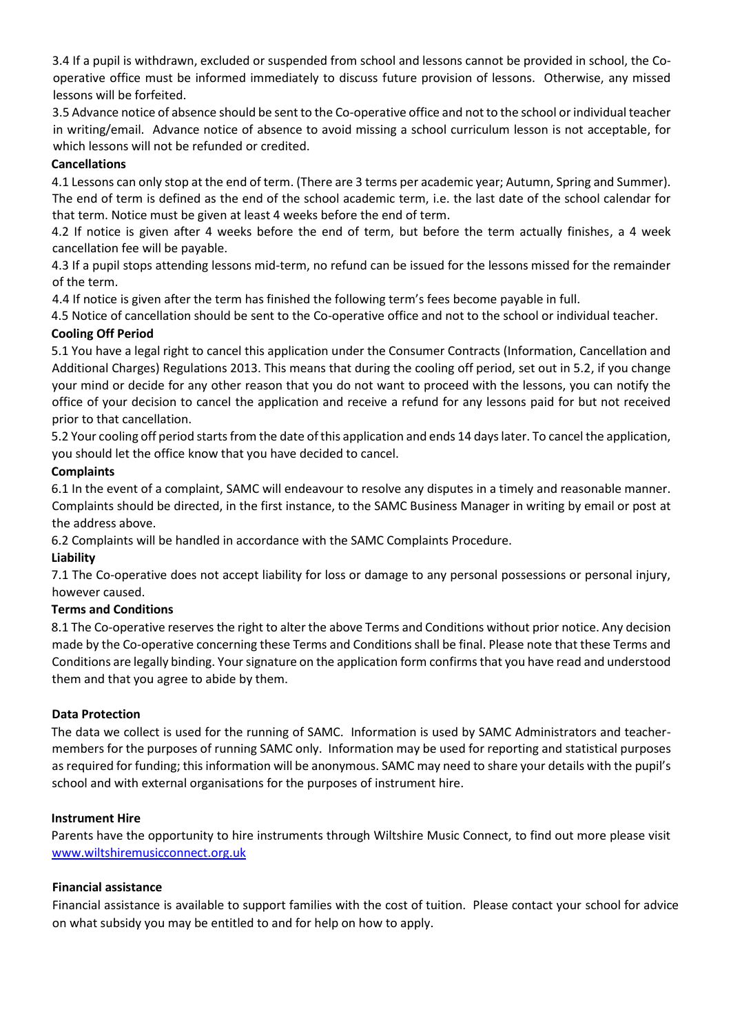3.4 If a pupil is withdrawn, excluded or suspended from school and lessons cannot be provided in school, the Cooperative office must be informed immediately to discuss future provision of lessons. Otherwise, any missed lessons will be forfeited.

3.5 Advance notice of absence should be sent to the Co-operative office and not to the school or individual teacher in writing/email. Advance notice of absence to avoid missing a school curriculum lesson is not acceptable, for which lessons will not be refunded or credited.

### **Cancellations**

4.1 Lessons can only stop at the end of term. (There are 3 terms per academic year; Autumn, Spring and Summer). The end of term is defined as the end of the school academic term, i.e. the last date of the school calendar for that term. Notice must be given at least 4 weeks before the end of term.

4.2 If notice is given after 4 weeks before the end of term, but before the term actually finishes, a 4 week cancellation fee will be payable.

4.3 If a pupil stops attending lessons mid-term, no refund can be issued for the lessons missed for the remainder of the term.

4.4 If notice is given after the term has finished the following term's fees become payable in full.

4.5 Notice of cancellation should be sent to the Co-operative office and not to the school or individual teacher. **Cooling Off Period**

5.1 You have a legal right to cancel this application under the Consumer Contracts (Information, Cancellation and Additional Charges) Regulations 2013. This means that during the cooling off period, set out in 5.2, if you change your mind or decide for any other reason that you do not want to proceed with the lessons, you can notify the office of your decision to cancel the application and receive a refund for any lessons paid for but not received prior to that cancellation.

5.2 Your cooling off period starts from the date of this application and ends 14 days later. To cancel the application, you should let the office know that you have decided to cancel.

## **Complaints**

6.1 In the event of a complaint, SAMC will endeavour to resolve any disputes in a timely and reasonable manner. Complaints should be directed, in the first instance, to the SAMC Business Manager in writing by email or post at the address above.

6.2 Complaints will be handled in accordance with the SAMC Complaints Procedure.

## **Liability**

7.1 The Co-operative does not accept liability for loss or damage to any personal possessions or personal injury, however caused.

## **Terms and Conditions**

8.1 The Co-operative reserves the right to alter the above Terms and Conditions without prior notice. Any decision made by the Co-operative concerning these Terms and Conditions shall be final. Please note that these Terms and Conditions are legally binding. Your signature on the application form confirms that you have read and understood them and that you agree to abide by them.

## **Data Protection**

The data we collect is used for the running of SAMC. Information is used by SAMC Administrators and teachermembers for the purposes of running SAMC only. Information may be used for reporting and statistical purposes as required for funding; this information will be anonymous. SAMC may need to share your details with the pupil's school and with external organisations for the purposes of instrument hire.

#### **Instrument Hire**

Parents have the opportunity to hire instruments through Wiltshire Music Connect, to find out more please visit [www.wiltshiremusicconnect.org.uk](http://www.wiltshiremusicconnect.org.uk/)

#### **Financial assistance**

Financial assistance is available to support families with the cost of tuition. Please contact your school for advice on what subsidy you may be entitled to and for help on how to apply.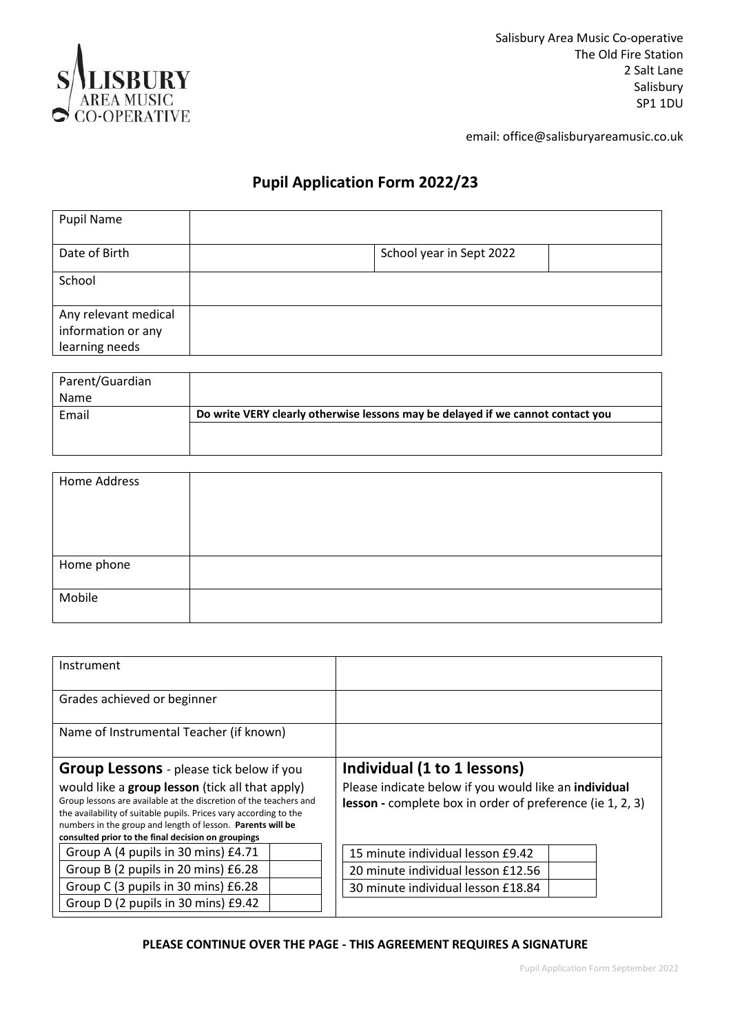

 $\overline{\phantom{a}}$ 

email: office@salisburyareamusic.co.uk

## **Pupil Application Form 2022/23**

| <b>Pupil Name</b>    |                          |
|----------------------|--------------------------|
| Date of Birth        | School year in Sept 2022 |
| School               |                          |
| Any relevant medical |                          |
| information or any   |                          |
| learning needs       |                          |

| Parent/Guardian |                                                                                 |
|-----------------|---------------------------------------------------------------------------------|
| <b>Name</b>     |                                                                                 |
| Email           | Do write VERY clearly otherwise lessons may be delayed if we cannot contact you |
|                 |                                                                                 |
|                 |                                                                                 |

| Home Address |  |
|--------------|--|
|              |  |
| Home phone   |  |
| Mobile       |  |

| Instrument                                                                                                                                                                                                                                                                                                                                                       |                                                                                                                                                   |  |
|------------------------------------------------------------------------------------------------------------------------------------------------------------------------------------------------------------------------------------------------------------------------------------------------------------------------------------------------------------------|---------------------------------------------------------------------------------------------------------------------------------------------------|--|
| Grades achieved or beginner                                                                                                                                                                                                                                                                                                                                      |                                                                                                                                                   |  |
| Name of Instrumental Teacher (if known)                                                                                                                                                                                                                                                                                                                          |                                                                                                                                                   |  |
| <b>Group Lessons</b> - please tick below if you<br>would like a group lesson (tick all that apply)<br>Group lessons are available at the discretion of the teachers and<br>the availability of suitable pupils. Prices vary according to the<br>numbers in the group and length of lesson. Parents will be<br>consulted prior to the final decision on groupings | Individual (1 to 1 lessons)<br>Please indicate below if you would like an individual<br>lesson - complete box in order of preference (ie 1, 2, 3) |  |
| Group A (4 pupils in 30 mins) £4.71<br>Group B (2 pupils in 20 mins) £6.28<br>Group C (3 pupils in 30 mins) £6.28<br>Group D (2 pupils in 30 mins) £9.42                                                                                                                                                                                                         | 15 minute individual lesson £9.42<br>20 minute individual lesson £12.56<br>30 minute individual lesson £18.84                                     |  |

#### **PLEASE CONTINUE OVER THE PAGE - THIS AGREEMENT REQUIRES A SIGNATURE**